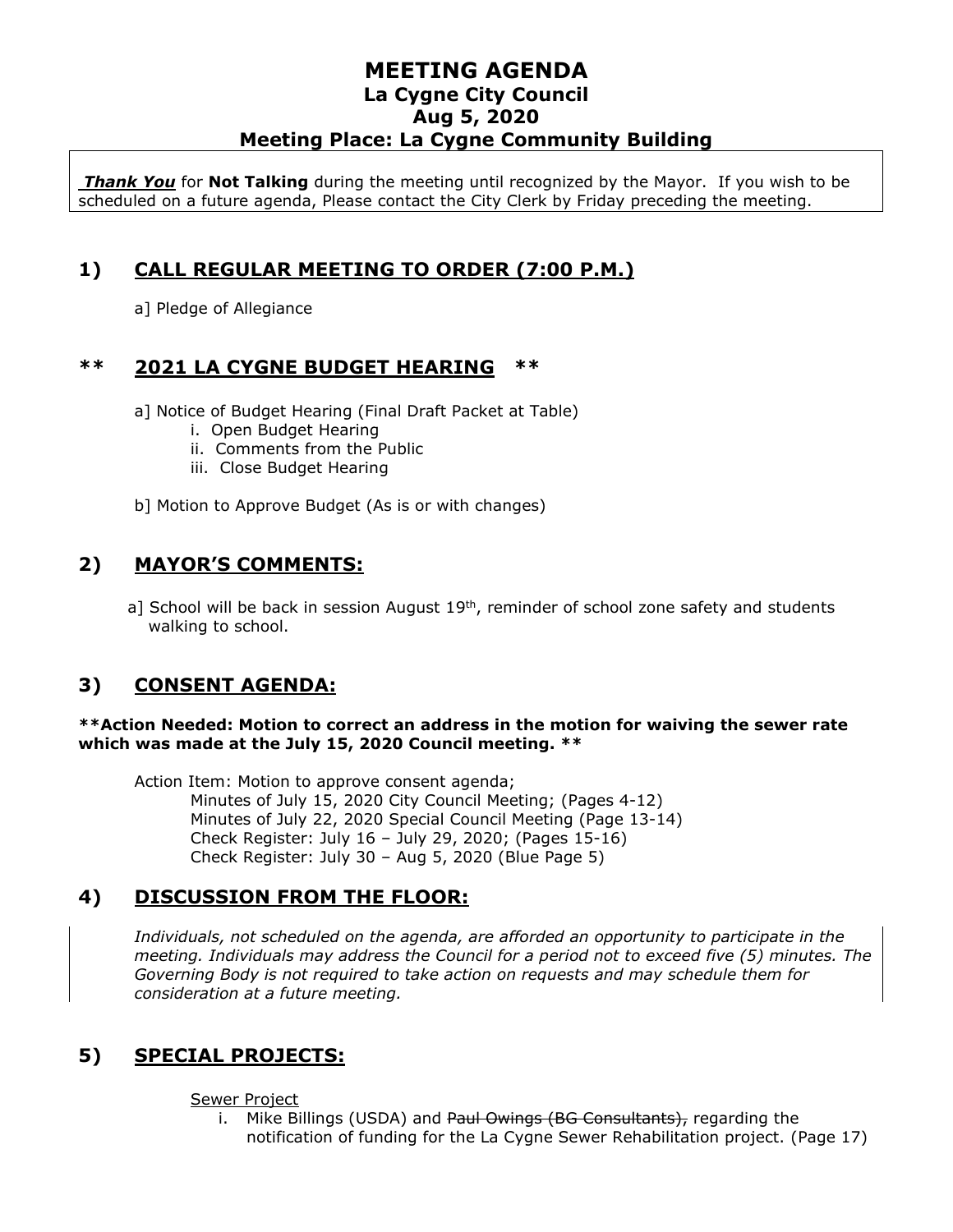*Thank You* for **Not Talking** during the meeting until recognized by the Mayor. If you wish to be scheduled on a future agenda, Please contact the City Clerk by Friday preceding the meeting.

## **1) CALL REGULAR MEETING TO ORDER (7:00 P.M.)**

a] Pledge of Allegiance

## **\*\* 2021 LA CYGNE BUDGET HEARING \*\***

a] Notice of Budget Hearing (Final Draft Packet at Table)

- i. Open Budget Hearing
- ii. Comments from the Public
- iii. Close Budget Hearing
- b] Motion to Approve Budget (As is or with changes)

## **2) MAYOR'S COMMENTS:**

a] School will be back in session August 19<sup>th</sup>, reminder of school zone safety and students walking to school.

# **3) CONSENT AGENDA:**

#### **\*\*Action Needed: Motion to correct an address in the motion for waiving the sewer rate which was made at the July 15, 2020 Council meeting. \*\***

Action Item: Motion to approve consent agenda; Minutes of July 15, 2020 City Council Meeting; (Pages 4-12) Minutes of July 22, 2020 Special Council Meeting (Page 13-14) Check Register: July 16 – July 29, 2020; (Pages 15-16) Check Register: July 30 – Aug 5, 2020 (Blue Page 5)

## **4) DISCUSSION FROM THE FLOOR:**

*Individuals, not scheduled on the agenda, are afforded an opportunity to participate in the meeting. Individuals may address the Council for a period not to exceed five (5) minutes. The Governing Body is not required to take action on requests and may schedule them for consideration at a future meeting.* 

# **5) SPECIAL PROJECTS:**

#### Sewer Project

i. Mike Billings (USDA) and Paul Owings (BG Consultants), regarding the notification of funding for the La Cygne Sewer Rehabilitation project. (Page 17)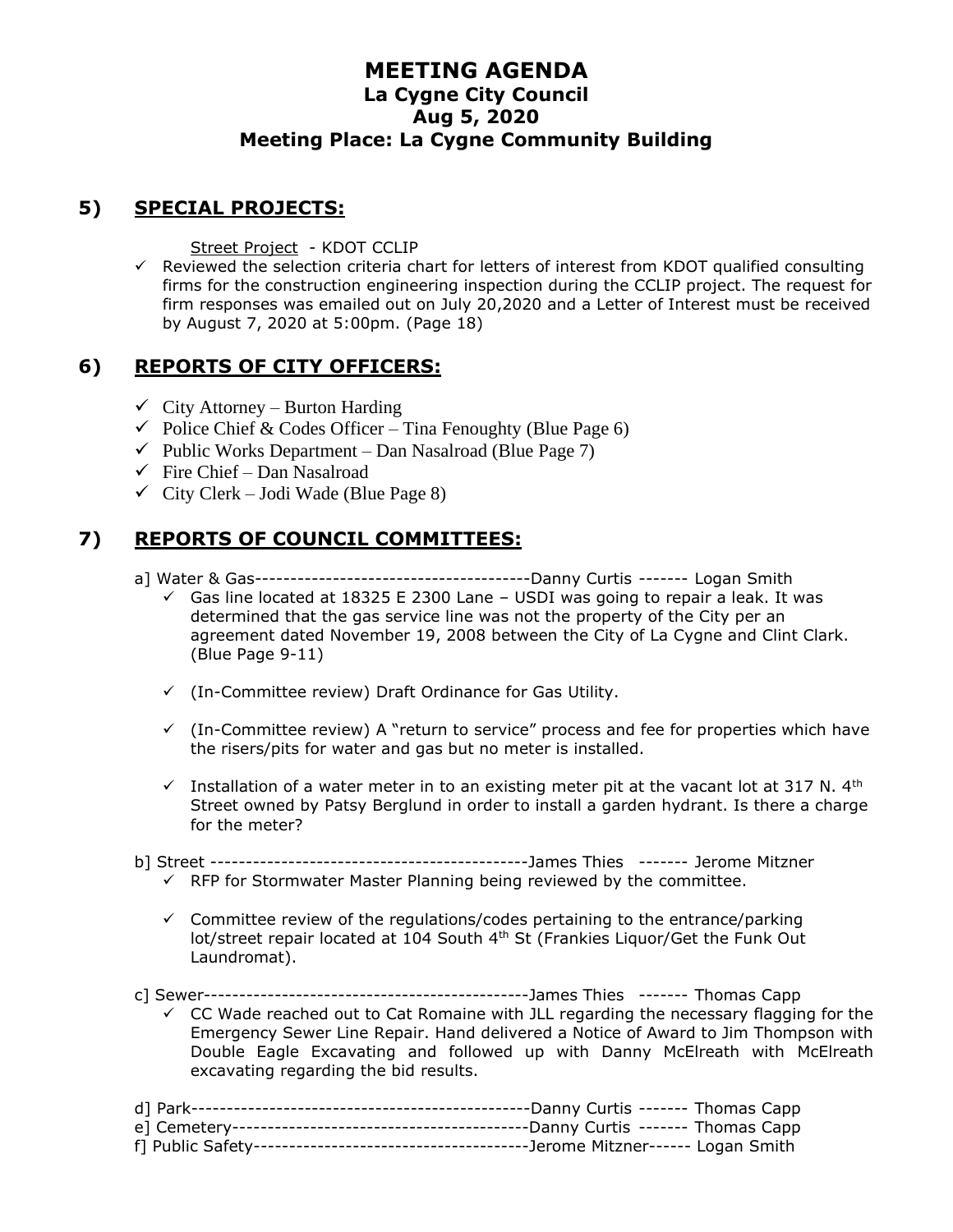## **5) SPECIAL PROJECTS:**

Street Project - KDOT CCLIP

 $\checkmark$  Reviewed the selection criteria chart for letters of interest from KDOT qualified consulting firms for the construction engineering inspection during the CCLIP project. The request for firm responses was emailed out on July 20,2020 and a Letter of Interest must be received by August 7, 2020 at 5:00pm. (Page 18)

## **6) REPORTS OF CITY OFFICERS:**

- $\checkmark$  City Attorney Burton Harding
- $\checkmark$  Police Chief & Codes Officer Tina Fenoughty (Blue Page 6)
- $\checkmark$  Public Works Department Dan Nasalroad (Blue Page 7)
- $\checkmark$  Fire Chief Dan Nasalroad
- $\checkmark$  City Clerk Jodi Wade (Blue Page 8)

## **7) REPORTS OF COUNCIL COMMITTEES:**

- a] Water & Gas---------------------------------------Danny Curtis ------- Logan Smith
	- $\checkmark$  Gas line located at 18325 E 2300 Lane USDI was going to repair a leak. It was determined that the gas service line was not the property of the City per an agreement dated November 19, 2008 between the City of La Cygne and Clint Clark. (Blue Page 9-11)
	- ✓ (In-Committee review) Draft Ordinance for Gas Utility.
	- $\checkmark$  (In-Committee review) A "return to service" process and fee for properties which have the risers/pits for water and gas but no meter is installed.
	- $\checkmark$  Installation of a water meter in to an existing meter pit at the vacant lot at 317 N. 4<sup>th</sup> Street owned by Patsy Berglund in order to install a garden hydrant. Is there a charge for the meter?
- b] Street ---------------------------------------------James Thies ------- Jerome Mitzner  $\checkmark$  RFP for Stormwater Master Planning being reviewed by the committee.
	- $\checkmark$  Committee review of the regulations/codes pertaining to the entrance/parking lot/street repair located at 104 South 4<sup>th</sup> St (Frankies Liquor/Get the Funk Out Laundromat).
- c] Sewer----------------------------------------------James Thies ------- Thomas Capp
	- $\checkmark$  CC Wade reached out to Cat Romaine with JLL regarding the necessary flagging for the Emergency Sewer Line Repair. Hand delivered a Notice of Award to Jim Thompson with Double Eagle Excavating and followed up with Danny McElreath with McElreath excavating regarding the bid results.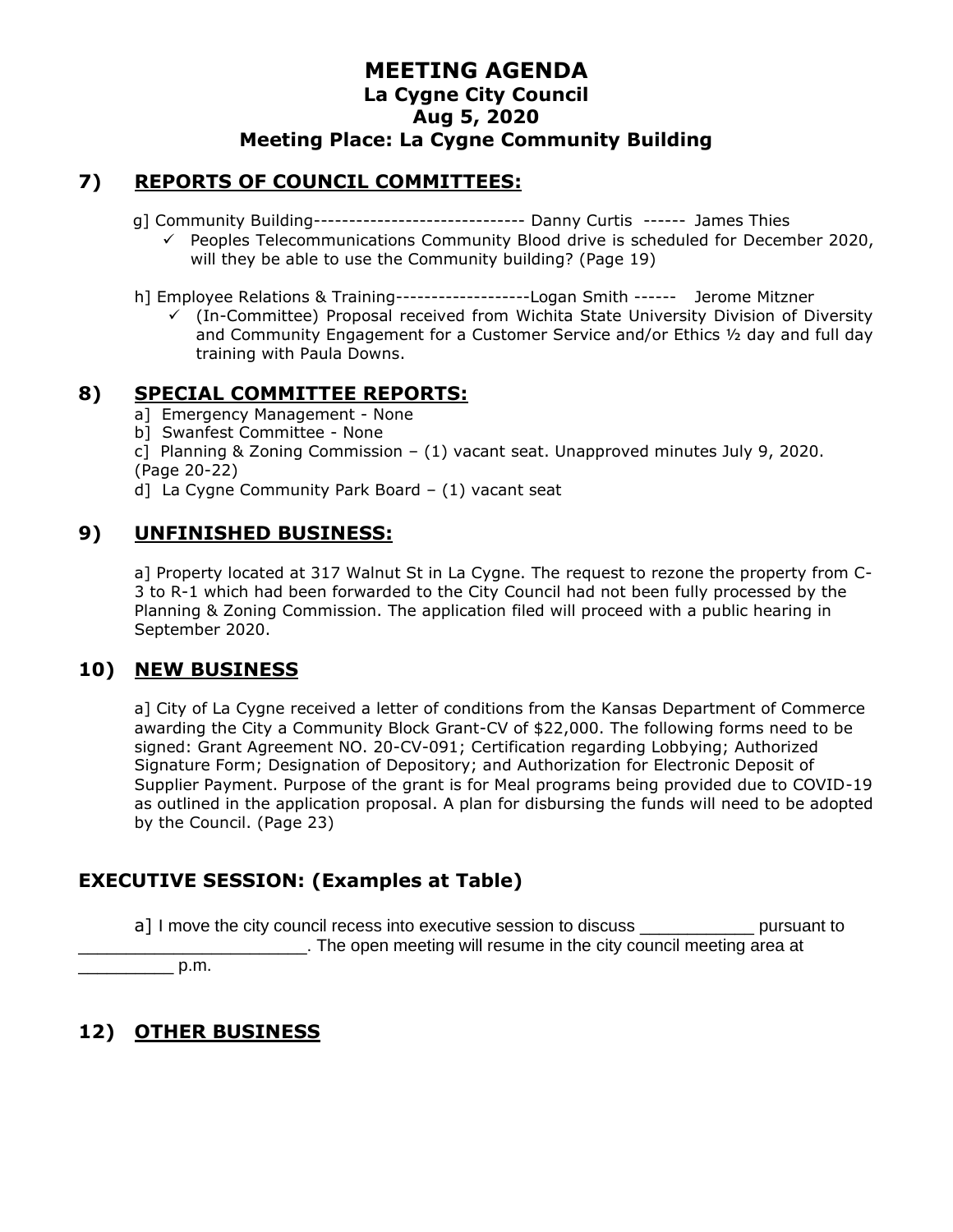#### **7) REPORTS OF COUNCIL COMMITTEES:**

- g] Community Building------------------------------ Danny Curtis ------ James Thies
	- ✓ Peoples Telecommunications Community Blood drive is scheduled for December 2020, will they be able to use the Community building? (Page 19)
- h] Employee Relations & Training-------------------Logan Smith ------ Jerome Mitzner
	- $\checkmark$  (In-Committee) Proposal received from Wichita State University Division of Diversity and Community Engagement for a Customer Service and/or Ethics ½ day and full day training with Paula Downs.

#### **8) SPECIAL COMMITTEE REPORTS:**

- a] Emergency Management None
- b] Swanfest Committee None
- c] Planning & Zoning Commission (1) vacant seat. Unapproved minutes July 9, 2020. (Page 20-22)
- d] La Cygne Community Park Board (1) vacant seat

#### **9) UNFINISHED BUSINESS:**

a] Property located at 317 Walnut St in La Cygne. The request to rezone the property from C-3 to R-1 which had been forwarded to the City Council had not been fully processed by the Planning & Zoning Commission. The application filed will proceed with a public hearing in September 2020.

#### **10) NEW BUSINESS**

a] City of La Cygne received a letter of conditions from the Kansas Department of Commerce awarding the City a Community Block Grant-CV of \$22,000. The following forms need to be signed: Grant Agreement NO. 20-CV-091; Certification regarding Lobbying; Authorized Signature Form; Designation of Depository; and Authorization for Electronic Deposit of Supplier Payment. Purpose of the grant is for Meal programs being provided due to COVID-19 as outlined in the application proposal. A plan for disbursing the funds will need to be adopted by the Council. (Page 23)

## **EXECUTIVE SESSION: (Examples at Table)**

a] I move the city council recess into executive session to discuss \_\_\_\_\_\_\_\_\_\_\_\_ pursuant to \_\_\_\_\_\_\_\_\_\_\_\_\_\_\_\_\_\_\_\_\_\_\_\_. The open meeting will resume in the city council meeting area at

 $p.m.$ 

## **12) OTHER BUSINESS**